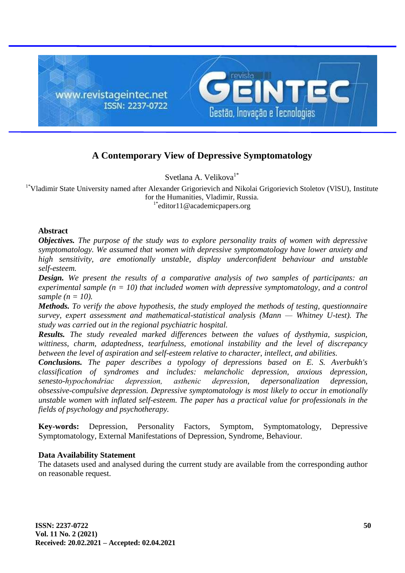

# **A Contemporary View of Depressive Symptomatology**

Svetlana A. Velikova<sup>1\*</sup>

<sup>1\*</sup>Vladimir State University named after Alexander Grigorievich and Nikolai Grigorievich Stoletov (VISU), Institute for the Humanities, Vladimir, Russia. <sup>1\*</sup>editor11@academicpapers.org

# **Abstract**

*Objectives. The purpose of the study was to explore personality traits of women with depressive symptomatology. We assumed that women with depressive symptomatology have lower anxiety and high sensitivity, are emotionally unstable, display underconfident behaviour and unstable self-esteem.* 

*Design. We present the results of a comparative analysis of two samples of participants: an experimental sample (n = 10) that included women with depressive symptomatology, and a control sample (n = 10).*

*Methods. To verify the above hypothesis, the study employed the methods of testing, questionnaire survey, expert assessment and mathematical-statistical analysis (Mann — Whitney U-test). The study was carried out in the regional psychiatric hospital.* 

*Results. The study revealed marked differences between the values of dysthymia, suspicion, wittiness, charm, adaptedness, tearfulness, emotional instability and the level of discrepancy between the level of aspiration and self-esteem relative to character, intellect, and abilities.*

*Conclusions. The paper describes a typology of depressions based on E. S. Averbukh's classification of syndromes and includes: melancholic depression, anxious depression, senesto-hypochondriaс depression, asthenic depression, depersonalization depression, obsessive-compulsive depression. Depressive symptomatology is most likely to occur in emotionally unstable women with inflated self-esteem. The paper has a practical value for professionals in the fields of psychology and psychotherapy.*

**Key-words:** Depression, Personality Factors, Symptom, Symptomatology, Depressive Symptomatology, External Manifestations of Depression, Syndrome, Behaviour.

# **Data Availability Statement**

The datasets used and analysed during the current study are available from the corresponding author on reasonable request.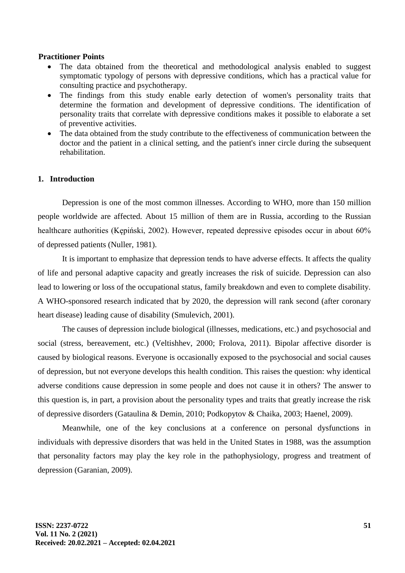#### **Practitioner Points**

- The data obtained from the theoretical and methodological analysis enabled to suggest symptomatic typology of persons with depressive conditions, which has a practical value for consulting practice and psychotherapy.
- The findings from this study enable early detection of women's personality traits that determine the formation and development of depressive conditions. The identification of personality traits that correlate with depressive conditions makes it possible to elaborate a set of preventive activities.
- The data obtained from the study contribute to the effectiveness of communication between the doctor and the patient in a clinical setting, and the patient's inner circle during the subsequent rehabilitation.

## **1. Introduction**

Depression is one of the most common illnesses. According to WHO, more than 150 million people worldwide are affected. About 15 million of them are in Russia, according to the Russian healthcare authorities (Kępiński, 2002). However, repeated depressive episodes occur in about 60% of depressed patients (Nuller, 1981).

It is important to emphasize that depression tends to have adverse effects. It affects the quality of life and personal adaptive capacity and greatly increases the risk of suicide. Depression can also lead to lowering or loss of the occupational status, family breakdown and even to complete disability. A WHO-sponsored research indicated that by 2020, the depression will rank second (after coronary heart disease) leading cause of disability (Smulevich, 2001).

The causes of depression include biological (illnesses, medications, etc.) and psychosocial and social (stress, bereavement, etc.) (Veltishhev, 2000; Frolova, 2011). Bipolar affective disorder is caused by biological reasons. Everyone is occasionally exposed to the psychosocial and social causes of depression, but not everyone develops this health condition. This raises the question: why identical adverse conditions cause depression in some people and does not cause it in others? The answer to this question is, in part, a provision about the personality types and traits that greatly increase the risk of depressive disorders (Gataulina & Demin, 2010; Podkopytov & Chaika, 2003; Haenel, 2009).

Meanwhile, one of the key conclusions at a conference on personal dysfunctions in individuals with depressive disorders that was held in the United States in 1988, was the assumption that personality factors may play the key role in the pathophysiology, progress and treatment of depression (Garanian, 2009).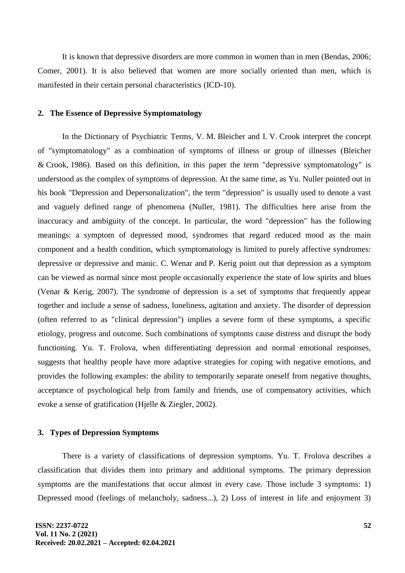It is known that depressive disorders are more common in women than in men (Bendas, 2006; Comer, 2001). It is also believed that women are more socially oriented than men, which is manifested in their certain personal characteristics (ICD-10).

### **2. The Essence of Depressive Symptomatology**

In the Dictionary of Psychiatric Terms, V. M. Bleicher and I. V. Crook interpret the concept of "symptomatology" as a combination of symptoms of illness or group of illnesses (Bleicher & Crook, 1986). Based on this definition, in this paper the term "depressive symptomatology" is understood as the complex of symptoms of depression. At the same time, as Yu. Nuller pointed out in his book "Depression and Depersonalization", the term "depression" is usually used to denote a vast and vaguely defined range of phenomena (Nuller, 1981). The difficulties here arise from the inaccuracy and ambiguity of the concept. In particular, the word "depression" has the following meanings: a symptom of depressed mood, syndromes that regard reduced mood as the main component and a health condition, which symptomatology is limited to purely affective syndromes: depressive or depressive and manic. C. Wenar and P. Kerig point out that depression as a symptom can be viewed as normal since most people occasionally experience the state of low spirits and blues (Venar & Kerig, 2007). The syndrome of depression is a set of symptoms that frequently appear together and include a sense of sadness, loneliness, agitation and anxiety. The disorder of depression (often referred to as "clinical depression") implies a severe form of these symptoms, a specific etiology, progress and outcome. Such combinations of symptoms cause distress and disrupt the body functioning. Yu. T. Frolova, when differentiating depression and normal emotional responses, suggests that healthy people have more adaptive strategies for coping with negative emotions, and provides the following examples: the ability to temporarily separate oneself from negative thoughts, acceptance of psychological help from family and friends, use of compensatory activities, which evoke a sense of gratification (Hjelle & Ziegler, 2002).

## **3. Types of Depression Symptoms**

There is a variety of classifications of depression symptoms. Yu. T. Frolova describes a classification that divides them into primary and additional symptoms. The primary depression symptoms are the manifestations that occur almost in every case. Those include 3 symptoms: 1) Depressed mood (feelings of melancholy, sadness...), 2) Loss of interest in life and enjoyment 3)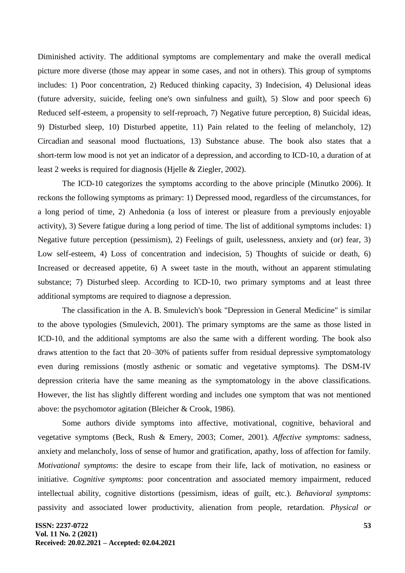Diminished activity. The additional symptoms are complementary and make the overall medical picture more diverse (those may appear in some cases, and not in others). This group of symptoms includes: 1) Poor concentration, 2) Reduced thinking capacity, 3) Indecision, 4) Delusional ideas (future adversity, suicide, feeling one's own sinfulness and guilt), 5) Slow and poor speech 6) Reduced self-esteem, a propensity to self-reproach, 7) Negative future perception, 8) Suicidal ideas, 9) Disturbed sleep, 10) Disturbed appetite, 11) Pain related to the feeling of melancholy, 12) Circadian and seasonal mood fluctuations, 13) Substance abuse. The book also states that a short-term low mood is not yet an indicator of a depression, and according to ICD-10, a duration of at least 2 weeks is required for diagnosis (Hjelle & Ziegler, 2002).

The ICD-10 categorizes the symptoms according to the above principle (Minutko 2006). It reckons the following symptoms as primary: 1) Depressed mood, regardless of the circumstances, for a long period of time, 2) Anhedonia (a loss of interest or pleasure from a previously enjoyable activity), 3) Severe fatigue during a long period of time. The list of additional symptoms includes: 1) Negative future perception (pessimism), 2) Feelings of guilt, uselessness, anxiety and (or) fear, 3) Low self-esteem, 4) Loss of concentration and indecision, 5) Thoughts of suicide or death, 6) Increased or decreased appetite, 6) A sweet taste in the mouth, without an apparent stimulating substance; 7) Disturbed sleep. According to ICD-10, two primary symptoms and at least three additional symptoms are required to diagnose a depression.

The classification in the A. B. Smulevich's book "Depression in General Medicine" is similar to the above typologies (Smulevich, 2001). The primary symptoms are the same as those listed in ICD-10, and the additional symptoms are also the same with a different wording. The book also draws attention to the fact that 20–30% of patients suffer from residual depressive symptomatology even during remissions (mostly asthenic or somatic and vegetative symptoms). The DSM-IV depression criteria have the same meaning as the symptomatology in the above classifications. However, the list has slightly different wording and includes one symptom that was not mentioned above: the psychomotor agitation (Bleicher & Crook, 1986).

Some authors divide symptoms into affective, motivational, cognitive, behavioral and vegetative symptoms (Beck, Rush & Emery, 2003; Comer, 2001)*. Affective symptoms*: sadness, anxiety and melancholy, loss of sense of humor and gratification, apathy, loss of affection for family. *Motivational symptoms*: the desire to escape from their life, lack of motivation, no easiness or initiative. *Cognitive symptoms*: poor concentration and associated memory impairment, reduced intellectual ability, cognitive distortions (pessimism, ideas of guilt, etc.). *Behavioral symptoms*: passivity and associated lower productivity, alienation from people, retardation. *Physical or*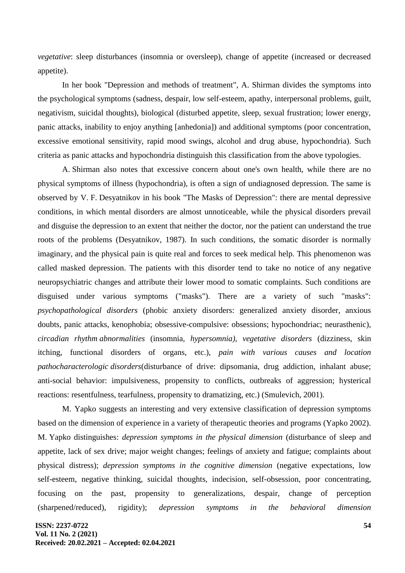*vegetative*: sleep disturbances (insomnia or oversleep), change of appetite (increased or decreased appetite).

In her book "Depression and methods of treatment", A. Shirman divides the symptoms into the psychological symptoms (sadness, despair, low self-esteem, apathy, interpersonal problems, guilt, negativism, suicidal thoughts), biological (disturbed appetite, sleep, sexual frustration; lower energy, panic attacks, inability to enjoy anything [anhedonia]) and additional symptoms (poor concentration, excessive emotional sensitivity, rapid mood swings, alcohol and drug abuse, hypochondria). Such criteria as panic attacks and hypochondria distinguish this classification from the above typologies.

A. Shirman also notes that excessive concern about one's own health, while there are no physical symptoms of illness (hypochondria), is often a sign of undiagnosed depression. The same is observed by V. F. Desyatnikov in his book "The Masks of Depression": there are mental depressive conditions, in which mental disorders are almost unnoticeable, while the physical disorders prevail and disguise the depression to an extent that neither the doctor, nor the patient can understand the true roots of the problems (Desyatnikov, 1987). In such conditions, the somatic disorder is normally imaginary, and the physical pain is quite real and forces to seek medical help. This phenomenon was called masked depression. The patients with this disorder tend to take no notice of any negative neuropsychiatric changes and attribute their lower mood to somatic complaints. Such conditions are disguised under various symptoms ("masks"). There are a variety of such "masks": *psychopathological disorders* (phobic anxiety disorders: generalized anxiety disorder, anxious doubts, panic attacks, kenophobia; obsessive-compulsive: obsessions; hypochondriac; neurasthenic), *circadian rhythm abnormalities* (insomnia*, hypersomnia), vegetative disorders* (dizziness, skin itching, functional disorders of organs, etc.), *pain with various causes and location pathocharacterologic disorders*(disturbance of drive: dipsomania, drug addiction, inhalant abuse; anti-social behavior: impulsiveness, propensity to conflicts, outbreaks of aggression; hysterical reactions: resentfulness, tearfulness, propensity to dramatizing, etc.) (Smulevich, 2001).

M. Yapko suggests an interesting and very extensive classification of depression symptoms based on the dimension of experience in a variety of therapeutic theories and programs (Yapko 2002). M. Yapko distinguishes: *depression symptoms in the physical dimension* (disturbance of sleep and appetite, lack of sex drive; major weight changes; feelings of anxiety and fatigue; complaints about physical distress); *depression symptoms in the cognitive dimension* (negative expectations, low self-esteem, negative thinking, suicidal thoughts, indecision, self-obsession, poor concentrating, focusing on the past, propensity to generalizations, despair, change of perception (sharpened/reduced), rigidity); *depression symptoms in the behavioral dimension*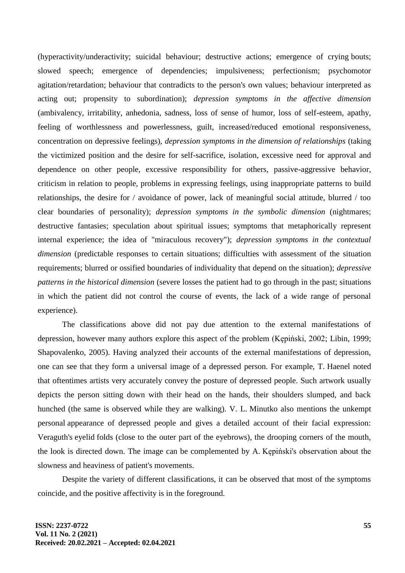(hyperactivity/underactivity; suicidal behaviour; destructive actions; emergence of crying bouts; slowed speech; emergence of dependencies; impulsiveness; perfectionism; psychomotor agitation/retardation; behaviour that contradicts to the person's own values; behaviour interpreted as acting out; propensity to subordination); *depression symptoms in the affective dimension*  (ambivalency, irritability, anhedonia, sadness, loss of sense of humor, loss of self-esteem, apathy, feeling of worthlessness and powerlessness, guilt, increased/reduced emotional responsiveness, concentration on depressive feelings), *depression symptoms in the dimension of relationships* (taking the victimized position and the desire for self-sacrifice, isolation, excessive need for approval and dependence on other people, excessive responsibility for others, passive-aggressive behavior, criticism in relation to people, problems in expressing feelings, using inappropriate patterns to build relationships, the desire for / avoidance of power, lack of meaningful social attitude, blurred / too clear boundaries of personality); *depression symptoms in the symbolic dimension* (nightmares; destructive fantasies; speculation about spiritual issues; symptoms that metaphorically represent internal experience; the idea of "miraculous recovery"); *depression symptoms in the contextual dimension* (predictable responses to certain situations; difficulties with assessment of the situation requirements; blurred or ossified boundaries of individuality that depend on the situation); *depressive patterns in the historical dimension* (severe losses the patient had to go through in the past; situations in which the patient did not control the course of events, the lack of a wide range of personal experience).

The classifications above did not pay due attention to the external manifestations of depression, however many authors explore this aspect of the problem (Kępiński, 2002; Libin, 1999; Shapovalenko, 2005). Having analyzed their accounts of the external manifestations of depression, one can see that they form a universal image of a depressed person. For example, T. Haenel noted that oftentimes artists very accurately convey the posture of depressed people. Such artwork usually depicts the person sitting down with their head on the hands, their shoulders slumped, and back hunched (the same is observed while they are walking). V. L. Minutko also mentions the unkempt personal appearance of depressed people and gives a detailed account of their facial expression: Veraguth's eyelid folds (close to the outer part of the eyebrows), the drooping corners of the mouth, the look is directed down. The image can be complemented by A. Kępiński's observation about the slowness and heaviness of patient's movements.

Despite the variety of different classifications, it can be observed that most of the symptoms coincide, and the positive affectivity is in the foreground.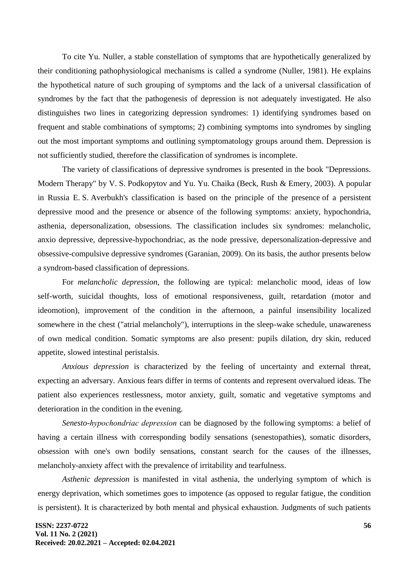To cite Yu. Nuller, a stable constellation of symptoms that are hypothetically generalized by their conditioning pathophysiological mechanisms is called a syndrome (Nuller, 1981). He explains the hypothetical nature of such grouping of symptoms and the lack of a universal classification of syndromes by the fact that the pathogenesis of depression is not adequately investigated. He also distinguishes two lines in categorizing depression syndromes: 1) identifying syndromes based on frequent and stable combinations of symptoms; 2) combining symptoms into syndromes by singling out the most important symptoms and outlining symptomatology groups around them. Depression is not sufficiently studied, therefore the classification of syndromes is incomplete.

The variety of classifications of depressive syndromes is presented in the book "Depressions. Modern Therapy" by V. S. Podkopytov and Yu. Yu. Chaika (Beck, Rush & Emery, 2003). A popular in Russia E. S. Averbukh's classification is based on the principle of the presence of a persistent depressive mood and the presence or absence of the following symptoms: anxiety, hypochondria, asthenia, depersonalization, obsessions. The classification includes six syndromes: melancholic, anxio depressive, depressive-hypochondriac, as the node pressive, depersonalization-depressive and obsessive-compulsive depressive syndromes (Garanian, 2009). On its basis, the author presents below a syndrom-based classification of depressions.

For *melancholic depression*, the following are typical: melancholic mood, ideas of low self-worth, suicidal thoughts, loss of emotional responsiveness, guilt, retardation (motor and ideomotion), improvement of the condition in the afternoon, a painful insensibility localized somewhere in the chest ("atrial melancholy"), interruptions in the sleep-wake schedule, unawareness of own medical condition. Somatic symptoms are also present: pupils dilation, dry skin, reduced appetite, slowed intestinal peristalsis.

*Anxious depression* is characterized by the feeling of uncertainty and external threat, expecting an adversary. Anxious fears differ in terms of contents and represent overvalued ideas. The patient also experiences restlessness, motor anxiety, guilt, somatic and vegetative symptoms and deterioration in the condition in the evening.

*Senesto-hypochondriaс depression* can be diagnosed by the following symptoms: a belief of having a certain illness with corresponding bodily sensations (senestopathies), somatic disorders, obsession with one's own bodily sensations, constant search for the causes of the illnesses, melancholy-anxiety affect with the prevalence of irritability and tearfulness.

*Asthenic depression* is manifested in vital asthenia, the underlying symptom of which is energy deprivation, which sometimes goes to impotence (as opposed to regular fatigue, the condition is persistent). It is characterized by both mental and physical exhaustion. Judgments of such patients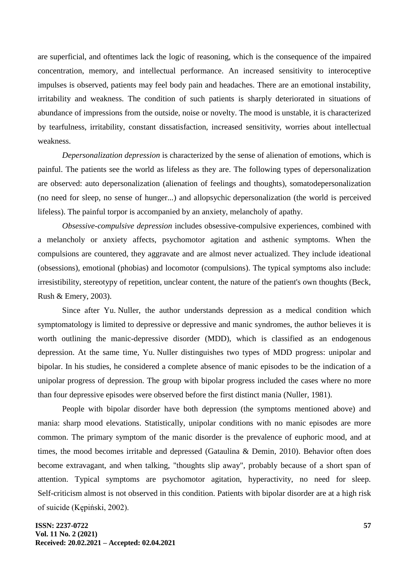are superficial, and oftentimes lack the logic of reasoning, which is the consequence of the impaired concentration, memory, and intellectual performance. An increased sensitivity to interoceptive impulses is observed, patients may feel body pain and headaches. There are an emotional instability, irritability and weakness. The condition of such patients is sharply deteriorated in situations of abundance of impressions from the outside, noise or novelty. The mood is unstable, it is characterized by tearfulness, irritability, constant dissatisfaction, increased sensitivity, worries about intellectual weakness.

*Depersonalization depression* is characterized by the sense of alienation of emotions, which is painful. The patients see the world as lifeless as they are. The following types of depersonalization are observed: auto depersonalization (alienation of feelings and thoughts), somatodepersonalization (no need for sleep, no sense of hunger...) and allopsychic depersonalization (the world is perceived lifeless). The painful torpor is accompanied by an anxiety, melancholy of apathy.

*Obsessive-compulsive depression* includes obsessive-compulsive experiences, combined with a melancholy or anxiety affects, psychomotor agitation and asthenic symptoms. When the compulsions are countered, they aggravate and are almost never actualized. They include ideational (obsessions), emotional (phobias) and locomotor (compulsions). The typical symptoms also include: irresistibility, stereotypy of repetition, unclear content, the nature of the patient's own thoughts (Beck, Rush & Emery, 2003).

Since after Yu. Nuller, the author understands depression as a medical condition which symptomatology is limited to depressive or depressive and manic syndromes, the author believes it is worth outlining the manic-depressive disorder (MDD), which is classified as an endogenous depression. At the same time, Yu. Nuller distinguishes two types of MDD progress: unipolar and bipolar. In his studies, he considered a complete absence of manic episodes to be the indication of a unipolar progress of depression. The group with bipolar progress included the cases where no more than four depressive episodes were observed before the first distinct mania (Nuller, 1981).

People with bipolar disorder have both depression (the symptoms mentioned above) and mania: sharp mood elevations. Statistically, unipolar conditions with no manic episodes are more common. The primary symptom of the manic disorder is the prevalence of euphoric mood, and at times, the mood becomes irritable and depressed (Gataulina & Demin, 2010). Behavior often does become extravagant, and when talking, "thoughts slip away", probably because of a short span of attention. Typical symptoms are psychomotor agitation, hyperactivity, no need for sleep. Self-criticism almost is not observed in this condition. Patients with bipolar disorder are at a high risk of suicide (Kępiński, 2002).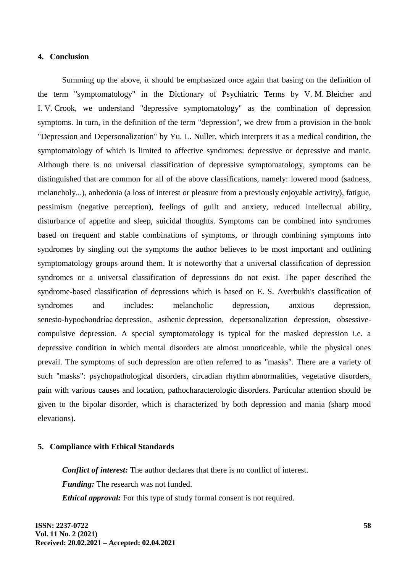## **4. Conclusion**

Summing up the above, it should be emphasized once again that basing on the definition of the term "symptomatology" in the Dictionary of Psychiatric Terms by V. M. Bleicher and I. V. Crook, we understand "depressive symptomatology" as the combination of depression symptoms. In turn, in the definition of the term "depression", we drew from a provision in the book "Depression and Depersonalization" by Yu. L. Nuller, which interprets it as a medical condition, the symptomatology of which is limited to affective syndromes: depressive or depressive and manic. Although there is no universal classification of depressive symptomatology, symptoms can be distinguished that are common for all of the above classifications, namely: lowered mood (sadness, melancholy...), anhedonia (a loss of interest or pleasure from a previously enjoyable activity), fatigue, pessimism (negative perception), feelings of guilt and anxiety, reduced intellectual ability, disturbance of appetite and sleep, suicidal thoughts. Symptoms can be combined into syndromes based on frequent and stable combinations of symptoms, or through combining symptoms into syndromes by singling out the symptoms the author believes to be most important and outlining symptomatology groups around them. It is noteworthy that a universal classification of depression syndromes or a universal classification of depressions do not exist. The paper described the syndrome-based classification of depressions which is based on E. S. Averbukh's classification of syndromes and includes: melancholic depression, anxious depression, senesto-hypochondriaс depression, asthenic depression, depersonalization depression, obsessivecompulsive depression. A special symptomatology is typical for the masked depression i.e. a depressive condition in which mental disorders are almost unnoticeable, while the physical ones prevail. The symptoms of such depression are often referred to as "masks". There are a variety of such "masks": psychopathological disorders, circadian rhythm abnormalities, vegetative disorders, pain with various causes and location, pathocharacterologic disorders. Particular attention should be given to the bipolar disorder, which is characterized by both depression and mania (sharp mood elevations).

### **5. Compliance with Ethical Standards**

*Conflict of interest:* The author declares that there is no conflict of interest. *Funding:* The research was not funded. *Ethical approval:* For this type of study formal consent is not required.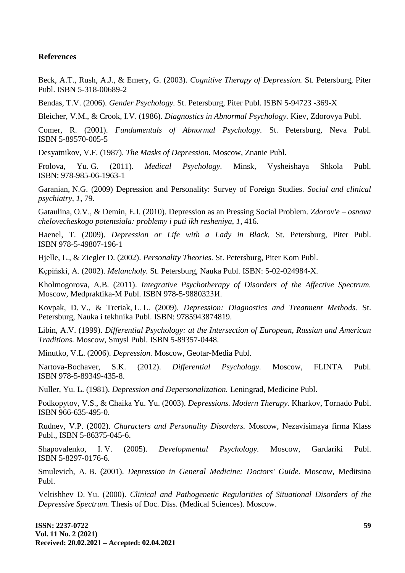## **References**

Beck, A.T., Rush, A.J., & Emery, G. (2003). *Cognitive Therapy of Depression.* St. Petersburg, Piter Publ. ISBN 5-318-00689-2

Bendas, T.V. (2006). *Gender Psychology.* St. Petersburg, Piter Publ. ISBN 5-94723 -369-X

Bleicher, V.M., & Crook, I.V. (1986). *Diagnostics in Abnormal Psychology.* Kiev, Zdorovya Publ.

Comer, R. (2001). *Fundamentals of Abnormal Psychology.* St. Petersburg, Neva Publ. ISBN 5-89570-005-5

Desyatnikov, V.F. (1987). *The Masks of Depression.* Moscow, Znanie Publ.

Frolova, Yu. G. (2011). *Medical Psychology.* Minsk, Vysheishaya Shkola Publ. ISBN: 978-985-06-1963-1

Garanian, N.G. (2009) Depression and Personality: Survey of Foreign Studies. *Social and clinical psychiatry, 1*, 79.

Gataulina, O.V., & Demin, E.I. (2010). Depression as an Pressing Social Problem. *Zdorov'e – osnova chelovecheskogo potentsiala: problemy i puti ikh resheniya, 1*, 416.

Haenel, T. (2009). *Depression or Life with a Lady in Black.* St. Petersburg, Piter Publ. ISBN 978-5-49807-196-1

Hjelle, L., & Ziegler D. (2002). *Personality Theories.* St. Petersburg, Piter Kom Publ.

Kępiński, A. (2002). *Melancholy.* St. Petersburg, Nauka Publ. ISBN: 5-02-024984-X.

Kholmogorova, A.B. (2011). *Integrative Psychotherapy of Disorders of the Affective Spectrum.* Moscow, Medpraktika-M Publ. ISBN 978-5-9880323И.

Kovpak, D. V., & Tretiak, L. L. (2009). *Depression: Diagnostics and Treatment Methods.* St. Petersburg, Nauka i tekhnika Publ. ISBN: 9785943874819.

Libin, A.V. (1999). *Differential Psychology: at the Intersection of European, Russian and American Traditions.* Moscow, Smysl Publ. ISBN 5-89357-0448.

Minutko, V.L. (2006). *Depression.* Moscow, Geotar-Media Publ.

Nartova-Bochaver, S.K. (2012). *Differential Psychology.* Moscow, FLINTA Publ. ISBN 978-5-89349-435-8.

Nuller, Yu. L. (1981). *Depression and Depersonalization.* Leningrad, Medicine Publ.

Podkopytov, V.S., & Chaika Yu. Yu. (2003). *Depressions. Modern Therapy.* Kharkov, Tornado Publ. ISBN 966-635-495-0.

Rudnev, V.P. (2002). *Characters and Personality Disorders.* Moscow, Nezavisimaya firma Klass Publ., ISBN 5-86375-045-6.

Shapovalenko, I. V. (2005). *Developmental Psychology.* Moscow, Gardariki Publ. ISBN 5-8297-0176-6.

Smulevich, A. B. (2001). *Depression in General Medicine: Doctors' Guide.* Moscow, Meditsina Publ.

Veltishhev D. Yu. (2000). *Clinical and Pathogenetic Regularities of Situational Disorders of the Depressive Spectrum.* Thesis of Doc. Diss. (Medical Sciences). Moscow.